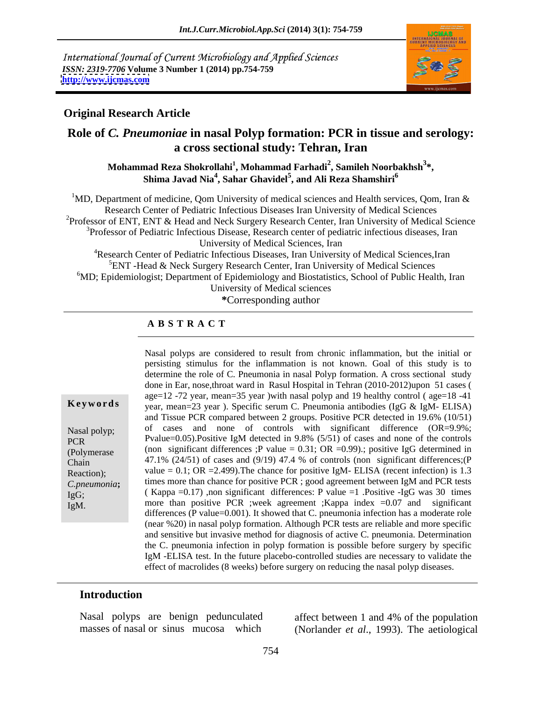International Journal of Current Microbiology and Applied Sciences *ISSN: 2319-7706* **Volume 3 Number 1 (2014) pp.754-759 <http://www.ijcmas.com>**



### **Original Research Article**

# **Role of** *C. Pneumoniae* **in nasal Polyp formation: PCR in tissue and serology: a cross sectional study: Tehran, Iran**

**Mohammad Reza Shokrollahi<sup>1</sup> , Mohammad Farhadi<sup>2</sup> , Samileh Noorbakhsh<sup>3</sup> \*, Shima Javad Nia<sup>4</sup> , Sahar Ghavidel<sup>5</sup> , and Ali Reza Shamshiri<sup>6</sup>**

<sup>1</sup>MD, Department of medicine, Qom University of medical sciences and Health services, Qom, Iran  $\&$ Research Center of Pediatric Infectious Diseases Iran University of Medical Sciences <sup>2</sup>Professor of ENT, ENT & Head and Neck Surgery Research Center, Iran University of Medical Science <sup>3</sup>Professor of Pediatric Infectious Disease, Research center of pediatric infectious diseases, Iran University of Medical Sciences, Iran 4Research Center of Pediatric Infectious Diseases, Iran University of Medical Sciences,Iran  ${}^{5}$ ENT -Head & Neck Surgery Research Center, Iran University of Medical Sciences

<sup>6</sup>MD; Epidemiologist; Department of Epidemiology and Biostatistics, School of Public Health, Iran University of Medical sciences

**\***Corresponding author

#### **A B S T R A C T**

#### **Keywords** year, mean=23 year ). Specific serum C. Pneumonia antibodies (IgG & IgM- ELISA) Nasal polyp; of cases and none of controls with significant difference (OR=9.9%; PCR Pvalue=0.05).Positive IgM detected in 9.8%  $(5/51)$  of cases and none of the controls (Polymerase (non significant differences ;P value = 0.31; OR =0.99).; positive IgG determined in Chain  $47.1\%$  (24/51) of cases and (9/19) 47.4 % of controls (non significant differences;(P *C.pneumonia*; times more than chance for positive PCR ; good agreement between IgM and PCR tests  $I_{\text{g}}G$ ; (Kappa =0.17), non significant differences: P value =1 .Positive -IgG was 30 times IgM. more than positive PCR ;week agreement ;Kappa index =0.07 and significant Nasal polyps are considered to result from chronic inflammation, but the initial or persisting stimulus for the inflammation is not known. Goal of this study is to determine the role of C. Pneumonia in nasal Polyp formation. A cross sectional study done in Ear, nose,throat ward in Rasul Hospital in Tehran (2010-2012)upon 51 cases ( age=12 -72 year, mean=35 year )with nasal polyp and 19 healthy control ( age=18 -41 and Tissue PCR compared between 2 groups. Positive PCR detected in 19.6% (10/51) value =  $0.1$ ; OR = 2.499). The chance for positive IgM- ELISA (recent infection) is 1.3 differences (P value=0.001). It showed that C. pneumonia infection has a moderate role (near %20) in nasal polyp formation. Although PCR tests are reliable and more specific and sensitive but invasive method for diagnosis of active C. pneumonia. Determination the C. pneumonia infection in polyp formation is possible before surgery by specific IgM -ELISA test. In the future placebo-controlled studies are necessary to validate the effect of macrolides (8 weeks) before surgery on reducing the nasal polyp diseases.

#### **Introduction**

Reaction);

Nasal polyps are benign pedunculated affect between 1 and 4% of the population

masses of nasal or sinus mucosa which (Norlander *et al*., 1993). The aetiological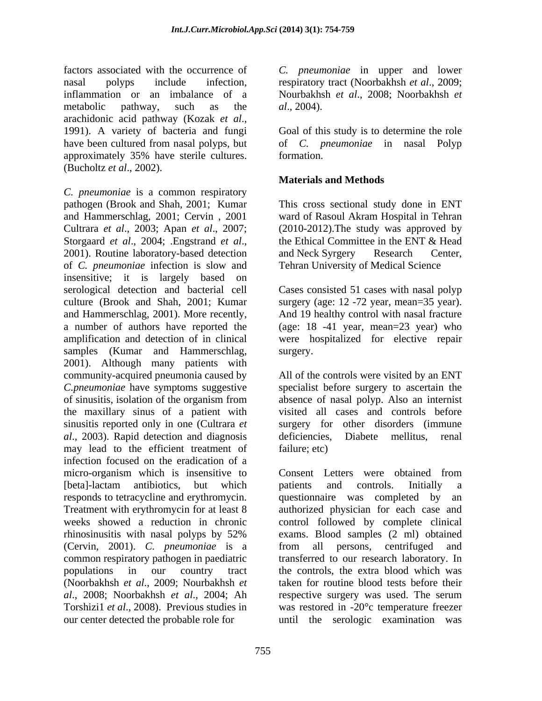factors associated with the occurrence of *C. pneumoniae* in upper and lower nasal polyps include infection, respiratory tract (Noorbakhsh *et al*., 2009; inflammation or an imbalance of a Nourbakhsh *et al*., 2008; Noorbakhsh *et*  metabolic pathway, such as the  $al., 2004$ . arachidonic acid pathway (Kozak *et al*., 1991). <sup>A</sup> variety of bacteria and fungi have been cultured from nasal polyps, but of *C. pneumoniae* in nasal Polyp approximately 35% have sterile cultures. (Bucholtz *et al*., 2002).

*C. pneumoniae* is a common respiratory pathogen (Brook and Shah, 2001; Kumar This cross sectional study done in ENT and Hammerschlag, 2001; Cervin , 2001 ward of Rasoul Akram Hospital in Tehran Cultrara *et al*., 2003; Apan *et al*., 2007; (2010-2012).The study was approved by Storgaard *et al.*, 2004; .Engstrand *et al.*, the Ethical Committee in the ENT & Head 2001). Routine laboratory-based detection and Neck Syrgery Research Center, of *C. pneumoniae* infection is slow and Tehran University of Medical Science insensitive; it is largely based on serological detection and bacterial cell Cases consisted 51 cases with nasal polyp culture (Brook and Shah, 2001; Kumar surgery (age: 12 -72 year, mean=35 year). and Hammerschlag, 2001). More recently, And 19 healthy control with nasal fracture a number of authors have reported the (age: 18 -41 year, mean=23 year) who amplification and detection of in clinical were hospitalized for elective repair samples (Kumar and Hammerschlag, surgery. 2001). Although many patients with community-acquired pneumonia caused by All of the controls were visited by an ENT *C.pneumoniae* have symptoms suggestive specialist before surgery to ascertain the of sinusitis, isolation of the organism from the maxillary sinus of a patient with visited all cases and controls before sinusitis reported only in one (Cultrara *et*  surgery for other disorders (immune *al.*, 2003). Rapid detection and diagnosis deficiencies, Diabete mellitus, renal may lead to the efficient treatment of failure; etc) infection focused on the eradication of a micro-organism which is insensitive to [beta]-lactam antibiotics, but which responds to tetracycline and erythromycin. questionnaire was completed by an Treatment with erythromycin for at least 8 authorized physician for each case and weeks showed a reduction in chronic control followed by complete clinical rhinosinusitis with nasal polyps by 52% (Cervin, 2001). *C. pneumoniae* is a common respiratory pathogen in paediatric transferred to our research laboratory. In populations in our country tract the controls, the extra blood which was (Noorbakhsh *et al*., 2009; Nourbakhsh *et al*., 2008; Noorbakhsh *et al*., 2004; Ah respective surgery was used. The serum Torshizi1 *et al*., 2008). Previous studies in was restored in -20°c temperature freezer our center detected the probable role for until the serologic examination was

*al*., 2004).

Goal of this study is to determine the role formation.

# **Materials and Methods**

the Ethical Committee in the ENT & Head and Neck Syrgery Research Center,

surgery.

absence of nasal polyp. Also an internist deficiencies, Diabete mellitus, renal failure; etc)

Consent Letters were obtained from patients and controls. Initially a exams. Blood samples (2 ml) obtained from all persons, centrifuged and taken for routine blood tests before their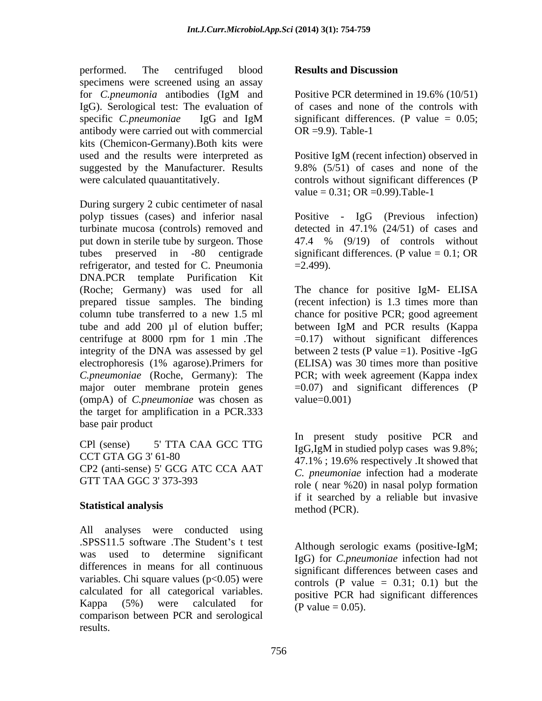performed. The centrifuged blood **Results and Discussion** specimens were screened using an assay for *C.pneumonia* antibodies (IgM and IgG). Serological test: The evaluation of specific *C.pneumoniae* IgG and IgM antibody were carried out with commercial OR =9.9). Table-1 kits (Chemicon-Germany).Both kits were used and the results were interpreted as Positive IgM (recent infection) observed in suggested by the Manufacturer. Results 9.8% (5/51) of cases and none of the

During surgery 2 cubic centimeter of nasal polyp tissues (cases) and inferior nasal Positive - IgG (Previous infection) turbinate mucosa (controls) removed and detected in 47.1% (24/51) of cases and put down in sterile tube by surgeon. Those  $47.4\%$  (9/19) of controls without tubes preserved in -80 centigrade significant differences. (P value = 0.1; OR refrigerator, and tested for C. Pneumonia  $=2.499$ ). DNA.PCR template Purification Kit (Roche; Germany) was used for all The chance for positive IgM- ELISA prepared tissue samples. The binding column tube transferred to a new 1.5 ml chance for positive PCR; good agreement tube and add 200 µl of elution buffer; between IgM and PCR results (Kappa centrifuge at 8000 rpm for 1 min .The integrity of the DNA was assessed by gel between 2 tests (P value =1). Positive -IgG electrophoresis (1% agarose).Primers for *C.pneumoniae* (Roche, Germany): The major outer membrane protein genes (ompA) of *C.pneumoniae* was chosen as the target for amplification in a PCR.333 base pair product

CP2 (anti-sense) 5' GCG ATC CCA AAT

## **Statistical analysis**

All analyses were conducted using .SPSS11.5 software .The Student s t test was used to determine significant IgG) for *C.pneumoniae* infection had not differences in means for all continuous variables. Chi square values  $(p<0.05)$  were calculated for all categorical variables. Kappa (5%) were calculated for  $\frac{1}{P}$   $\frac{1}{P}$   $\frac{1}{P}$   $\frac{1}{P}$   $\frac{1}{P}$   $\frac{1}{P}$   $\frac{1}{P}$   $\frac{1}{P}$   $\frac{1}{P}$   $\frac{1}{P}$   $\frac{1}{P}$   $\frac{1}{P}$   $\frac{1}{P}$   $\frac{1}{P}$   $\frac{1}{P}$   $\frac{1}{P}$   $\frac{1}{P}$   $\frac{1}{P}$   $\frac{1}{P}$  comparison between PCR and serological results.

## **Results and Discussion**

Positive PCR determined in 19.6% (10/51) of cases and none of the controls with significant differences. (P value  $= 0.05$ ;  $OR = 9.9$ . Table-1

were calculated quauantitatively. controls without significant differences (P 9.8% (5/51) of cases and none of the value =  $0.31$ ; OR =  $0.99$ ). Table-1

> detected in 47.1% (24/51) of cases and 47.4 % (9/19) of controls without  $=2.499$ ).

(recent infection) is 1.3 times more than between IgM and PCR results (Kappa  $=0.17$ ) without significant differences (ELISA) was 30 times more than positive PCR; with week agreement (Kappa index =0.07) and significant differences (P value=0.001)

 $CPl$  (sense) 5' TTA CAA GCC TTG  $I_0G$   $I_0M$  in studied polyn cases, was 9.8%. CCT GTA GG 3' 61-80<br>  $47.1\%$ ; 19.6% respectively .It showed that GTT TAA GGC 3' 373-393<br>role (near %20) in nasal polyp formation In present study positive PCR and IgG,IgM in studied polyp cases was 9.8%; *C. pneumoniae* infection had a moderate if it searched by a reliable but invasive method (PCR).

> Although serologic exams (positive-IgM; significant differences between cases and controls  $(P \text{ value} = 0.31; 0.1)$  but the positive PCR had significant differences (P value =  $0.05$ ).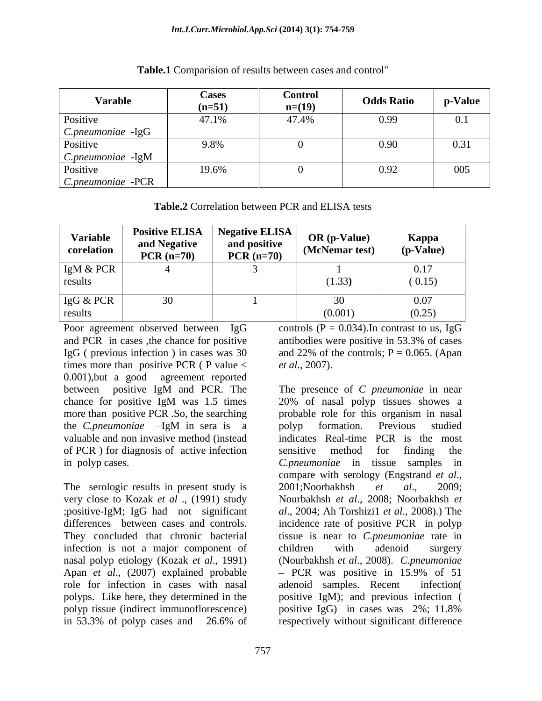| <b>Varable</b>                | <b>Cases</b><br>$(n=51)$ | <b>Control</b><br>$n=(19)$ | <b>Odds Ratio</b> | p-Value |
|-------------------------------|--------------------------|----------------------------|-------------------|---------|
| Positive                      | 47.1%                    | 47.4%                      | 0.99              |         |
| C.pneumoniae -IgG             |                          |                            |                   |         |
| Positive                      | 9.8%                     |                            | 0.90              | 0.31    |
| C.pneumoniae -IgM             |                          |                            |                   |         |
|                               | 19.6%                    |                            | 0.92              | 005     |
| Positive<br>C.pneumoniae -PCR |                          |                            |                   |         |

**Table.1** Comparision of results between cases and control"

**Table.2** Correlation between PCR and ELISA tests

| <b>Variable</b><br>corelation | <b>Positive ELISA</b>   Negative ELISA  <br>and Negative<br>$PCR (n=70)$ | and positive<br>$PCR (n=70)$ | OR (p-Value)<br>$\mid$ (McNemar test) $\mid$ | Kappa<br>(p-Value) |
|-------------------------------|--------------------------------------------------------------------------|------------------------------|----------------------------------------------|--------------------|
| IgM & PCR                     |                                                                          |                              |                                              | 0.17               |
| results                       |                                                                          |                              | (1.33)                                       | (0.15)             |
| IgG & PCR                     |                                                                          |                              |                                              | 0.07               |
| results                       |                                                                          |                              | (0.001)                                      | (0.25)             |

Poor agreement observed between  $I gG$  controls  $(P = 0.034)$ . In contrast to us, IgG and PCR in cases ,the chance for positive antibodies were positive in 53.3% of cases IgG ( previous infection ) in cases was  $30 \text{ and } 22\%$  of the controls;  $P = 0.065$ . (Apan times more than positive PCR ( $P$  value  $\lt$  *et al.*, 2007). 0.001),but a good agreement reported valuable and non invasive method (instead of PCR ) for diagnosis of active infection sensitive method for finding the

The serologic results in present study is 2001; Noorbakhsh et al., 2009; very close to Kozak *et al* ., (1991) study infection is not a major component of children with adenoid surgery Apan *et al.*, (2007) explained probable  $-$  PCR was positive in 15.9% of 51 role for infection in cases with nasal adenoid samples. Recent infection polyp tissue (indirect immunoflorescence) positive IgG) in cases was 2%; 11.8% in 53.3% of polyp cases and 26.6% of

between positive IgM and PCR. The The presence of C *pneumoniae* in near chance for positive IgM was 1.5 times 20% of nasal polyp tissues showes a more than positive PCR .So, the searching probable role for this organism in nasal the *C.pneumoniae* - IgM in sera is a polyp formation. Previous studied in polyp cases. *C.pneumoniae* in tissue samples in ;positive-IgM; IgG had not significant *al*., 2004; Ah Torshizi1 *et al*., 2008).) The differences between cases and controls. Incidence rate of positive PCR in polyp<br>They concluded that chronic bacterial issue is near to *C.pneumoniae* rate in nasal polyp etiology (Kozak *et al*., 1991) (Nourbakhsh *et al*., 2008). *C.pneumoniae* polyps. Like here, they determined in the positive IgM); and previous infection ( *et al*., 2007). The presence of *<sup>C</sup> pneumoniae* in near polyp formation. Previous studied indicates Real-time PCR is the most sensitive method for finding the compare with serology (Engstrand *et al*., 2001;Noorbakhsh *et al*., 2009; Nourbakhsh *et al*., 2008; Noorbakhsh *et*  incidence rate of positive PCR in polyp tissue is near to *C.pneumoniae* rate in children with adenoid surgery PCR was positive in 15.9% of 51 adenoid samples. Recent positive IgG) in cases was 2%; 11.8% respectively without significant difference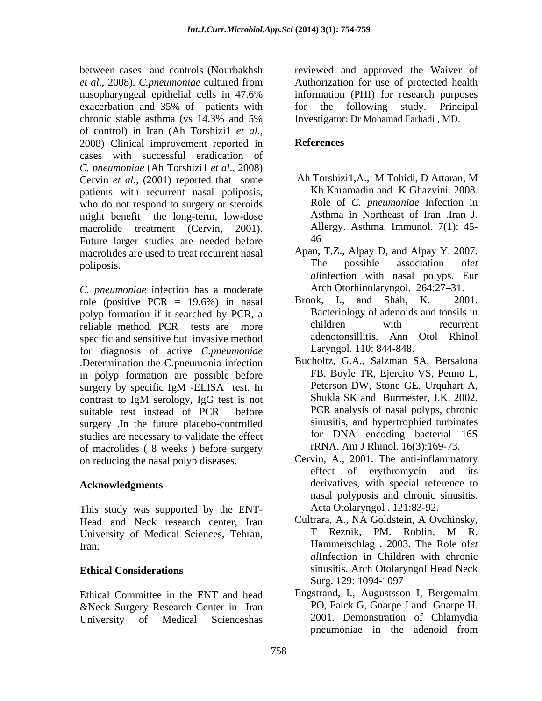exacerbation and 35% of patients with for the following study. Principal of control) in Iran (Ah Torshizi1 *et al*., 2008) Clinical improvement reported in cases with successful eradication of *C. pneumoniae* (Ah Torshizi1 *et al*., 2008) Cervin *et al.,* (2001) reported that some patients with recurrent nasal poliposis, who do not respond to surgery or steroids might benefit the long-term, low-dose macrolide treatment (Cervin, 2001). Allergy. Asthma. Immunol. 7(1): 45- Future larger studies are needed before  $46$ macrolides are used to treat recurrent nasal Apan, T.Z., Alpay D, and Alpay Y. 2007.<br>The possible association of *et* poliposis.

*C. pneumoniae* infection has a moderate **and Arch Otorhinolaryngol.** 264:27–31.<br>
role (positive PCB – 19.6%) in pasal Brook. L. and Shah. K. 2001. role (positive PCR  $= 19.6\%$ ) in nasal polyp formation if it searched by PCR, a Bacteriology of adenoids and tonsils in<br>reliable method PCR tests are more children with recurrent reliable method. PCR tests are more specific and sensitive but invasive method for diagnosis of active *C.pneumoniae* .Determination the C.pneumonia infection in polyp formation are possible before surgery .In the future placebo-controlled studies are necessary to validate the effect of macrolides ( 8 weeks ) before surgery on reducing the nasal polyp diseases.

This study was supported by the ENT- Head and Neck research center, Iran Cultrara, A., NA Goldstein, A Ovchinsky,<br>
Hniversity of Medical Sciences Tehran T. Reznik, PM. Roblin, M. R. University of Medical Sciences, Tehran,

Ethical Committee in the ENT and head &Neck Surgery Research Center in Iran

between cases and controls (Nourbakhsh reviewed and approved the Waiver of *et al*., 2008). *C.pneumoniae* cultured from nasopharyngeal epithelial cells in 47.6% chronic stable asthma (vs 14.3% and 5% Authorization for use of protected health information (PHI) for research purposes for the following study. Principal Investigator: Dr Mohamad Farhadi , MD.

# **References**

- Ah Torshizi1,A., M Tohidi, D Attaran, M Kh Karamadin and K Ghazvini. 2008. Role of *C. pneumoniae* Infection in Asthma in Northeast of Iran .Iran J. 46
- Apan, T.Z., Alpay D, and Alpay Y. 2007. The possible association of*et al*infection with nasal polyps. Eur Arch Otorhinolaryngol. 264:27–31.
- Brook, I., and Shah, K. Bacteriology of adenoids and tonsils in children with recurrent adenotonsillitis. Ann Otol Rhinol Laryngol. 110: 844-848.
- surgery by specific IgM -ELISA test. In Peterson DW, Stone GE, Urquhart A, contrast to IgM serology, IgG test is not suitable test instead of PCR before PCR analysis of nasal polyps, chronic Bucholtz, G.A., Salzman SA, Bersalona FB, Boyle TR, Ejercito VS, Penno L, Peterson DW, Stone GE, Urquhart A, Shukla SK and Burmester, J.K. 2002. PCR analysis of nasal polyps, chronic sinusitis, and hypertrophied turbinates for DNA encoding bacterial 16S rRNA. Am J Rhinol. 16(3):169-73.
- Acknowledgments derivatives, with special reference to Cervin, A., 2001. The anti-inflammatory effect of erythromycin and its nasal polyposis and chronic sinusitis. Acta Otolaryngol . 121:83-92.
- Iran. Hammerschlag . 2003. The Role of*et*  **Ethical Considerations** sinusitis. Arch Otolaryngol Head Neck Cultrara, A., NA Goldstein, A Ovchinsky, T Reznik, PM. Roblin, M R. *al*Infection in Children with chronic Surg. 129: 1094-1097
- University of Medical Scienceshas 2001. Demonstration of Chlamydia Engstrand, I., Augustsson I, Bergemalm PO, Falck G, Gnarpe J and Gnarpe H. pneumoniae in the adenoid from